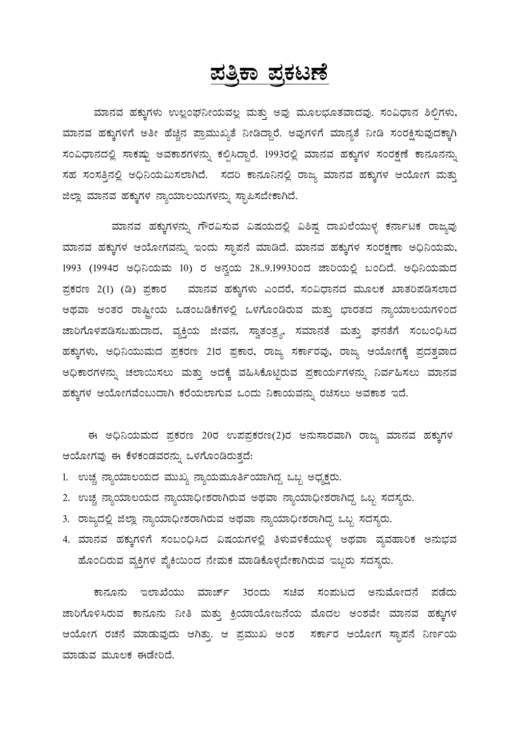## <u>ಪತ್ರಿಕಾ ಪ್ರಕಟಣೆ</u>

ಮಾನವ ಹಕ್ಕುಗಳು ಉಲ್ಲಂಘನೀಯವಲ್ಲ ಮತ್ತು ಅವು ಮೂಲಭೂತವಾದವು. ಸಂವಿಧಾನ ಶಿಲ್ಪಿಗಳು, ಮಾನವ ಹಕ್ಕುಗಳಿಗೆ ಅತೀ ಹೆಚ್ಚಿನ ಪ್ರಾಮುಖ್ಯತೆ ನೀಡಿದ್ದಾರೆ. ಅವುಗಳಿಗೆ ಮಾನ್ಯತೆ ನೀಡಿ ಸಂರಕ್ಷಿಸುವುದಕ್ಕಾಗಿ ಸಂವಿಧಾನದಲ್ಲಿ ಸಾಕಷ್ಟು ಅವಕಾಶಗಳನ್ನು ಕಲ್ಪಿಸಿದ್ದಾರೆ. 1993ರಲ್ಲಿ ಮಾನವ ಹಕ್ಕುಗಳ ಸಂರಕ್ಷಣೆ ಕಾನೂನನ್ನು ಸಹ ಸಂಸತ್ತಿನಲ್ಲಿ ಅಧಿನಿಯಮಿಸಲಾಗಿದೆ. ಸದರಿ ಕಾನೂನಿನಲ್ಲಿ ರಾಜ್ಯ ಮಾನವ ಹಕ್ಕುಗಳ ಆಯೋಗ ಮತ್ತು ಜಿಲ್ಲಾ ಮಾನವ ಹಕ್ಕುಗಳ ನ್ಯಾಯಾಲಯಗಳನ್ನು ಸ್ವಾಪಿಸಬೇಕಾಗಿದೆ.

ಮಾನವ ಹಕ್ಕುಗಳನ್ನು ಗೌರವಿಸುವ ವಿಷಯದಲ್ಲಿ ವಿಶಿಷ್ಟ ದಾಖಲೆಯುಳ್ಳ ಕರ್ನಾಟಕ ರಾಜ್ಯವು ಮಾನವ ಹಕ್ಕುಗಳ ಆಯೋಗವನ್ನು ಇಂದು ಸ್ಧಾಪನೆ ಮಾಡಿದೆ. ಮಾನವ ಹಕ್ಕುಗಳ ಸಂರಕ್ಷಣಾ ಅಧಿನಿಯಮ, 1993 (1994ರ ಅಧಿನಿಯಮ 10) ರ ಅನ್ವಯ 28..9.1993ರಿಂದ ಜಾರಿಯಲ್ಲಿ ಬಂದಿದೆ. ಅಧಿನಿಯಮದ ಪ್ರಕರಣ 2(1) (ಡಿ) ಪ್ರಕಾರ ಮಾನವ ಹಕ್ಕುಗಳು ಎಂದರೆ, ಸಂವಿಧಾನದ ಮೂಲಕ ಖಾತರಿಪಡಿಸಲಾದ ಅಥವಾ ಅಂತರ ರಾಷ್ಟೀಯ ಒಡಂಬಡಿಕೆಗಳಲ್ಲಿ ಒಳಗೊಂಡಿರುವ ಮತ್ತು ಭಾರತದ ನ್ಯಾಯಾಲಯಗಳಿಂದ ಜಾರಿಗೊಳಪಡಿಸಬಹುದಾದ, ವ್ಯಕ್ತಿಯ ಜೀವನ, ಸ್ವಾತಂತ್ರ್ಯ, ಸಮಾನತೆ ಮತ್ತು ಘನತೆಗೆ ಸಂಬಂಧಿಸಿದ ಹಕ್ಕುಗಳು, ಅಧಿನಿಯುಮದ ಪ್ರಕರಣ 21ರ ಪ್ರಕಾರ, ರಾಜ್ಯ ಸರ್ಕಾರವು, ರಾಜ್ಯ ಆಯೋಗಕ್ಕೆ ಪ್ರದತ್ತವಾದ ಅಧಿಕಾರಗಳನ್ನು ಚಲಾಯಿಸಲು ಮತ್ತು ಅದಕ್ಕೆ ವಹಿಸಿಕೊಟ್ಟಿರುವ ಪ್ರಕಾರ್ಯಗಳನ್ನು ನಿರ್ವಹಿಸಲು ಮಾನವ ಹಕ್ಕುಗಳ ಆಯೋಗವೆಂಬುದಾಗಿ ಕರೆಯಲಾಗುವ ಒಂದು ನಿಕಾಯವನ್ನು ರಚಿಸಲು ಅವಕಾಶ ಇದೆ.

ಈ ಅಧಿನಿಯಮದ ಪ್ರಕರಣ 20ರ ಉಪಪ್ರಕರಣ(2)ರ ಅನುಸಾರವಾಗಿ ರಾಜ್ಯ ಮಾನವ ಹಕ್ಕುಗಳ ಆಯೋಗವು ಈ ಕೆಳಕಂಡವರನ್ನು ಒಳಗೊಂಡಿರುತ್ತದೆ:

- 1. ಉಚ್ಚ ನ್ಯಾಯಾಲಯದ ಮುಖ್ಯ ನ್ಯಾಯಮೂರ್ತಿಯಾಗಿದ್ದ ಒಬ್ಬ ಅಧ್ಯಕ್ಷರು.
- 2. ಉಚ್ಚ ನ್ಯಾಯಾಲಯದ ನ್ಯಾಯಾಧೀಶರಾಗಿರುವ ಅಥವಾ ನ್ಯಾಯಾಧೀಶರಾಗಿದ್ದ ಒಬ್ಬ ಸದಸ್ಯರು.
- 3. ರಾಜ್ಯದಲ್ಲಿ ಜಿಲ್ಲಾ ನ್ಯಾಯಾಧೀಶರಾಗಿರುವ ಅಥವಾ ನ್ಯಾಯಾಧೀಶರಾಗಿದ್ದ ಒಬ್ಬ ಸದಸ್ಯರು.
- 4. ಮಾನವ ಹಕ್ಕುಗಳಿಗೆ ಸಂಬಂಧಿಸಿದ ವಿಷಯಗಳಲ್ಲಿ ತಿಳುವಳಿಕೆಯುಳ್ಳ ಅಥವಾ ವ್ಯವಹಾರಿಕ ಅನುಭವ ಹೊಂದಿರುವ ವ್ಯಕ್ತಿಗಳ ಪೈಕಿಯಿಂದ ನೇಮಕ ಮಾಡಿಕೊಳ್ಳಬೇಕಾಗಿರುವ ಇಬ್ಬರು ಸದಸ್ಯರು.

 $\tau$ ಕಾನೂನು ಇಲಾಖೆಯು ಮಾರ್ಚ್ 3ರಂದು ಸಚಿವ ಸಂಪುಟದ ಅನುಮೋದನೆ ಪಡೆದು ಜಾರಿಗೊಳಿಸಿರುವ ಕಾನೂನು ನೀತಿ ಮತ್ತು ಕ್ರಿಯಾಯೋಜನೆಯ ಮೊದಲ ಅಂಶವೇ ಮಾನವ ಹಕ್ಕುಗಳ ಆಯೋಗ ರಚನೆ ಮಾಡುವುದು ಆಗಿತ್ತು. ಆ ಪ್ರಮುಖ ಅಂಶ ಸರ್ಕಾರ ಆಯೋಗ ಸ್ಥಾಪನೆ ನಿರ್ಣಯ ಮಾಡುವ ಮೂಲಕ ಈಡೇರಿದೆ.